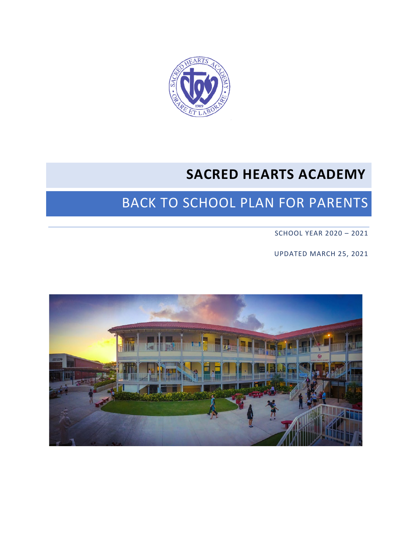

## **SACRED HEARTS ACADEMY**

# BACK TO SCHOOL PLAN FOR PARENTS

SCHOOL YEAR 2020 – 2021

UPDATED MARCH 25, 2021

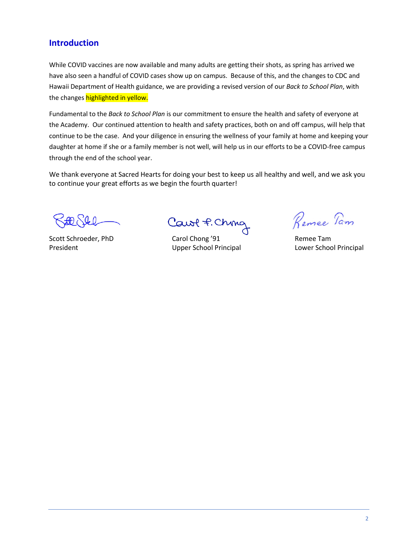### **Introduction**

While COVID vaccines are now available and many adults are getting their shots, as spring has arrived we have also seen a handful of COVID cases show up on campus. Because of this, and the changes to CDC and Hawaii Department of Health guidance, we are providing a revised version of our *Back to School Plan*, with the changes highlighted in yellow.

Fundamental to the *Back to School Plan* is our commitment to ensure the health and safety of everyone at the Academy. Our continued attention to health and safety practices, both on and off campus, will help that continue to be the case. And your diligence in ensuring the wellness of your family at home and keeping your daughter at home if she or a family member is not well, will help us in our efforts to be a COVID-free campus through the end of the school year.

We thank everyone at Sacred Hearts for doing your best to keep us all healthy and well, and we ask you to continue your great efforts as we begin the fourth quarter!

Cawl f. Ching

Scott Schroeder, PhD Carol Chong '91 Remee Tam President **National Contract Contract Contract Contract Contract Contract Contract Contract Contract Contract Contract Contract Contract Contract Contract Contract Contract Contract Contract Contract Contract Contract Cont** 

Remee Tam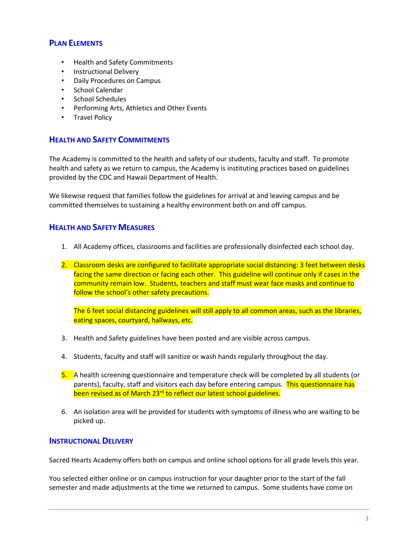#### **PLAN ELEMENTS**

- Health and Safety Commitments
- Instructional Delivery
- Daily Procedures on Campus
- School Calendar
- School Schedules
- Performing Arts, Athletics and Other Events
- Travel Policy

## **HEALTH AND SAFETY COMMITMENTS**

The Academy is committed to the health and safety of our students, faculty and staff. To promote health and safety as we return to campus, the Academy is instituting practices based on guidelines provided by the CDC and Hawaii Department of Health.

We likewise request that families follow the guidelines for arrival at and leaving campus and be committed themselves to sustaining a healthy environment both on and off campus.

#### **HEALTH AND SAFETY MEASURES**

- 1. All Academy offices, classrooms and facilities are professionally disinfected each school day.
- 2. Classroom desks are configured to facilitate appropriate social distancing: 3 feet between desks facing the same direction or facing each other. This guideline will continue only if cases in the community remain low. Students, teachers and staff must wear face masks and continue to follow the school's other safety precautions.

The 6 feet social distancing guidelines will still apply to all common areas, such as the libraries, eating spaces, courtyard, hallways, etc.

- 3. Health and Safety guidelines have been posted and are visible across campus.
- 4. Students, faculty and staff will sanitize or wash hands regularly throughout the day.
- 5. A health screening questionnaire and temperature check will be completed by all students (or parents), faculty, staff and visitors each day before entering campus. This questionnaire has been revised as of March 23<sup>rd</sup> to reflect our latest school guidelines.
- 6. An isolation area will be provided for students with symptoms of illness who are waiting to be picked up.

#### **INSTRUCTIONAL DELIVERY**

Sacred Hearts Academy offers both on campus and online school options for all grade levels this year.

You selected either online or on campus instruction for your daughter prior to the start of the fall semester and made adjustments at the time we returned to campus. Some students have come on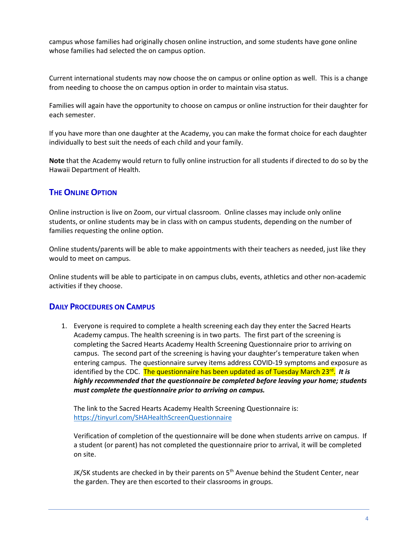campus whose families had originally chosen online instruction, and some students have gone online whose families had selected the on campus option.

Current international students may now choose the on campus or online option as well. This is a change from needing to choose the on campus option in order to maintain visa status.

Families will again have the opportunity to choose on campus or online instruction for their daughter for each semester.

If you have more than one daughter at the Academy, you can make the format choice for each daughter individually to best suit the needs of each child and your family.

**Note** that the Academy would return to fully online instruction for all students if directed to do so by the Hawaii Department of Health.

#### **THE ONLINE OPTION**

Online instruction is live on Zoom, our virtual classroom. Online classes may include only online students, or online students may be in class with on campus students, depending on the number of families requesting the online option.

Online students/parents will be able to make appointments with their teachers as needed, just like they would to meet on campus.

Online students will be able to participate in on campus clubs, events, athletics and other non-academic activities if they choose.

#### **DAILY PROCEDURES ON CAMPUS**

1. Everyone is required to complete a health screening each day they enter the Sacred Hearts Academy campus. The health screening is in two parts. The first part of the screening is completing the Sacred Hearts Academy Health Screening Questionnaire prior to arriving on campus. The second part of the screening is having your daughter's temperature taken when entering campus. The questionnaire survey items address COVID-19 symptoms and exposure as identified by the CDC. The questionnaire has been updated as of Tuesday March 23<sup>rd</sup>. It is *highly recommended that the questionnaire be completed before leaving your home; students must complete the questionnaire prior to arriving on campus.* 

The link to the Sacred Hearts Academy Health Screening Questionnaire is: <https://tinyurl.com/SHAHealthScreenQuestionnaire>

Verification of completion of the questionnaire will be done when students arrive on campus. If a student (or parent) has not completed the questionnaire prior to arrival, it will be completed on site.

JK/SK students are checked in by their parents on  $5<sup>th</sup>$  Avenue behind the Student Center, near the garden. They are then escorted to their classrooms in groups.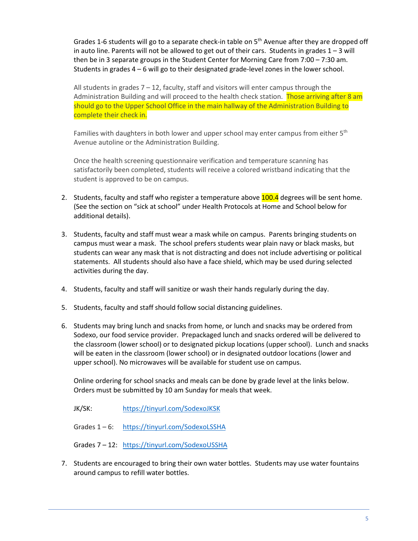Grades 1-6 students will go to a separate check-in table on  $5<sup>th</sup>$  Avenue after they are dropped off in auto line. Parents will not be allowed to get out of their cars. Students in grades  $1 - 3$  will then be in 3 separate groups in the Student Center for Morning Care from 7:00 – 7:30 am. Students in grades 4 – 6 will go to their designated grade-level zones in the lower school.

All students in grades  $7 - 12$ , faculty, staff and visitors will enter campus through the Administration Building and will proceed to the health check station. Those arriving after 8 am should go to the Upper School Office in the main hallway of the Administration Building to complete their check in.

Families with daughters in both lower and upper school may enter campus from either  $5<sup>th</sup>$ Avenue autoline or the Administration Building.

Once the health screening questionnaire verification and temperature scanning has satisfactorily been completed, students will receive a colored wristband indicating that the student is approved to be on campus.

- 2. Students, faculty and staff who register a temperature above 100.4 degrees will be sent home. (See the section on "sick at school" under Health Protocols at Home and School below for additional details).
- 3. Students, faculty and staff must wear a mask while on campus. Parents bringing students on campus must wear a mask. The school prefers students wear plain navy or black masks, but students can wear any mask that is not distracting and does not include advertising or political statements. All students should also have a face shield, which may be used during selected activities during the day.
- 4. Students, faculty and staff will sanitize or wash their hands regularly during the day.
- 5. Students, faculty and staff should follow social distancing guidelines.
- 6. Students may bring lunch and snacks from home, or lunch and snacks may be ordered from Sodexo, our food service provider. Prepackaged lunch and snacks ordered will be delivered to the classroom (lower school) or to designated pickup locations (upper school). Lunch and snacks will be eaten in the classroom (lower school) or in designated outdoor locations (lower and upper school). No microwaves will be available for student use on campus.

Online ordering for school snacks and meals can be done by grade level at the links below. Orders must be submitted by 10 am Sunday for meals that week.

JK/SK: <https://tinyurl.com/SodexoJKSK>

Grades 1 – 6: <https://tinyurl.com/SodexoLSSHA>

Grades 7 – 12: <https://tinyurl.com/SodexoUSSHA>

7. Students are encouraged to bring their own water bottles. Students may use water fountains around campus to refill water bottles.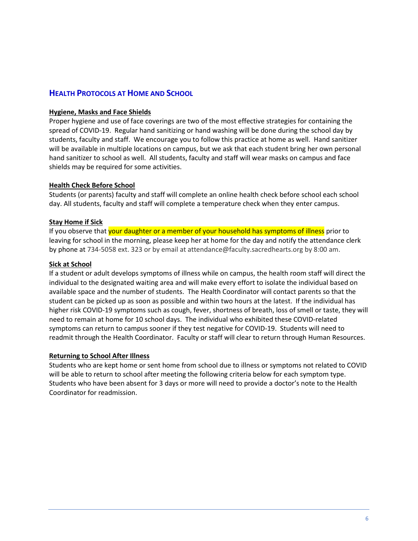### **HEALTH PROTOCOLS AT HOME AND SCHOOL**

#### **Hygiene, Masks and Face Shields**

Proper hygiene and use of face coverings are two of the most effective strategies for containing the spread of COVID-19. Regular hand sanitizing or hand washing will be done during the school day by students, faculty and staff. We encourage you to follow this practice at home as well. Hand sanitizer will be available in multiple locations on campus, but we ask that each student bring her own personal hand sanitizer to school as well. All students, faculty and staff will wear masks on campus and face shields may be required for some activities.

#### **Health Check Before School**

Students (or parents) faculty and staff will complete an online health check before school each school day. All students, faculty and staff will complete a temperature check when they enter campus.

#### **Stay Home if Sick**

If you observe that your daughter or a member of your household has symptoms of illness prior to leaving for school in the morning, please keep her at home for the day and notify the attendance clerk by phone at 734-5058 ext. 323 or by email at attendance@faculty.sacredhearts.org by 8:00 am.

#### **Sick at School**

If a student or adult develops symptoms of illness while on campus, the health room staff will direct the individual to the designated waiting area and will make every effort to isolate the individual based on available space and the number of students. The Health Coordinator will contact parents so that the student can be picked up as soon as possible and within two hours at the latest. If the individual has higher risk COVID-19 symptoms such as cough, fever, shortness of breath, loss of smell or taste, they will need to remain at home for 10 school days. The individual who exhibited these COVID-related symptoms can return to campus sooner if they test negative for COVID-19. Students will need to readmit through the Health Coordinator. Faculty or staff will clear to return through Human Resources.

#### **Returning to School After Illness**

Students who are kept home or sent home from school due to illness or symptoms not related to COVID will be able to return to school after meeting the following criteria below for each symptom type. Students who have been absent for 3 days or more will need to provide a doctor's note to the Health Coordinator for readmission.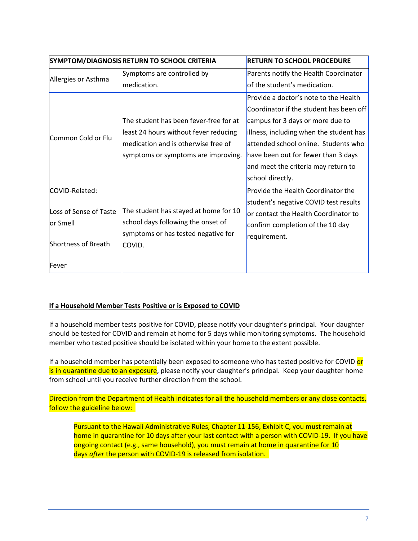|                                                                              | SYMPTOM/DIAGNOSIS RETURN TO SCHOOL CRITERIA                                                                                                                   | <b>RETURN TO SCHOOL PROCEDURE</b>                                                                                                                                                                                                                                                                         |
|------------------------------------------------------------------------------|---------------------------------------------------------------------------------------------------------------------------------------------------------------|-----------------------------------------------------------------------------------------------------------------------------------------------------------------------------------------------------------------------------------------------------------------------------------------------------------|
| Allergies or Asthma                                                          | Symptoms are controlled by<br>medication.                                                                                                                     | Parents notify the Health Coordinator<br>of the student's medication.                                                                                                                                                                                                                                     |
| Common Cold or Flu                                                           | The student has been fever-free for at<br>least 24 hours without fever reducing<br>medication and is otherwise free of<br>symptoms or symptoms are improving. | Provide a doctor's note to the Health<br>Coordinator if the student has been off<br>campus for 3 days or more due to<br>illness, including when the student has<br>attended school online. Students who<br>have been out for fewer than 3 days<br>and meet the criteria may return to<br>school directly. |
| COVID-Related:<br>Loss of Sense of Taste<br>lor Smell<br>Shortness of Breath | The student has stayed at home for 10<br>school days following the onset of<br>symptoms or has tested negative for<br>COVID.                                  | <b>Provide the Health Coordinator the</b><br>student's negative COVID test results<br>or contact the Health Coordinator to<br>confirm completion of the 10 day<br>requirement.                                                                                                                            |
| Fever                                                                        |                                                                                                                                                               |                                                                                                                                                                                                                                                                                                           |

#### **If a Household Member Tests Positive or is Exposed to COVID**

If a household member tests positive for COVID, please notify your daughter's principal. Your daughter should be tested for COVID and remain at home for 5 days while monitoring symptoms. The household member who tested positive should be isolated within your home to the extent possible.

If a household member has potentially been exposed to someone who has tested positive for COVID or is in quarantine due to an exposure, please notify your daughter's principal. Keep your daughter home from school until you receive further direction from the school.

Direction from the Department of Health indicates for all the household members or any close contacts, follow the guideline below:

Pursuant to the Hawaii Administrative Rules, Chapter 11-156, Exhibit C, you must remain at home in quarantine for 10 days after your last contact with a person with COVID-19. If you have ongoing contact (e.g., same household), you must remain at home in quarantine for 10 days *after* the person with COVID-19 is released from isolation.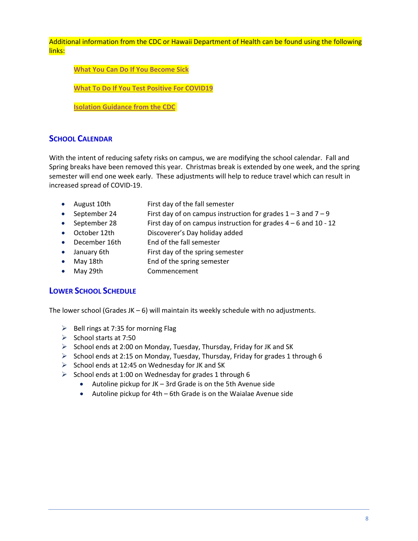Additional information from the CDC or Hawaii Department of Health can be found using the following links:

**What You Can Do If You [Become](https://health.hawaii.gov/coronavirusdisease2019/what-you-can-do/if-you-become-sick/) Sick**

**What To Do If You Test Positive For [COVID19](https://health.hawaii.gov/coronavirusdisease2019/files/2020/04/What-To-Do-If-You-Test-Positive-For-COVID19_040120.pdf)**

**Isolation [Guidance](https://www.cdc.gov/coronavirus/2019-ncov/if-you-are-sick/isolation.html) from the CDC**

## **SCHOOL CALENDAR**

With the intent of reducing safety risks on campus, we are modifying the school calendar. Fall and Spring breaks have been removed this year. Christmas break is extended by one week, and the spring semester will end one week early. These adjustments will help to reduce travel which can result in increased spread of COVID-19.

- August 10th First day of the fall semester
- September 24 First day of on campus instruction for grades  $1 3$  and  $7 9$
- September 28 First day of on campus instruction for grades 4 6 and 10 12
- October 12th Discoverer's Day holiday added
- December 16th End of the fall semester
- January 6th First day of the spring semester
- May 18th **End of the spring semester**
- May 29th Commencement

#### **LOWER SCHOOL SCHEDULE**

The lower school (Grades JK  $-6$ ) will maintain its weekly schedule with no adjustments.

- $\triangleright$  Bell rings at 7:35 for morning Flag
- $\triangleright$  School starts at 7:50
- $\triangleright$  School ends at 2:00 on Monday, Tuesday, Thursday, Friday for JK and SK
- $\triangleright$  School ends at 2:15 on Monday, Tuesday, Thursday, Friday for grades 1 through 6
- $\triangleright$  School ends at 12:45 on Wednesday for JK and SK
- $\triangleright$  School ends at 1:00 on Wednesday for grades 1 through 6
	- Autoline pickup for JK 3rd Grade is on the 5th Avenue side
	- Autoline pickup for 4th 6th Grade is on the Waialae Avenue side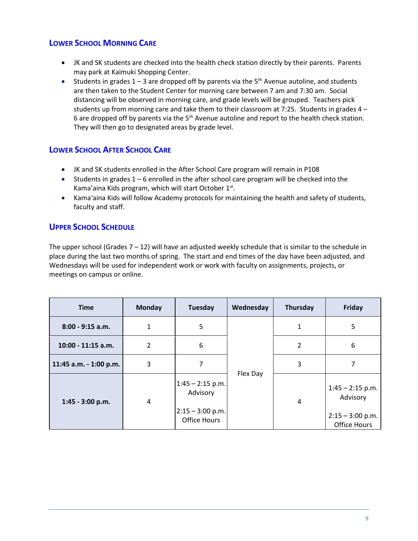## **LOWER SCHOOL MORNING CARE**

- JK and SK students are checked into the health check station directly by their parents. Parents may park at Kaimuki Shopping Center.
- Students in grades  $1 3$  are dropped off by parents via the  $5<sup>th</sup>$  Avenue autoline, and students are then taken to the Student Center for morning care between 7 am and 7:30 am. Social distancing will be observed in morning care, and grade levels will be grouped. Teachers pick students up from morning care and take them to their classroom at 7:25. Students in grades 4 – 6 are dropped off by parents via the  $5<sup>th</sup>$  Avenue autoline and report to the health check station. They will then go to designated areas by grade level.

## **LOWER SCHOOL AFTER SCHOOL CARE**

- JK and SK students enrolled in the After School Care program will remain in P108
- Students in grades  $1 6$  enrolled in the after school care program will be checked into the Kama'aina Kids program, which will start October 1st.
- Kama'aina Kids will follow Academy protocols for maintaining the health and safety of students, faculty and staff.

## **UPPER SCHOOL SCHEDULE**

The upper school (Grades  $7 - 12$ ) will have an adjusted weekly schedule that is similar to the schedule in place during the last two months of spring. The start and end times of the day have been adjusted, and Wednesdays will be used for independent work or work with faculty on assignments, projects, or meetings on campus or online.

| <b>Time</b>            | <b>Monday</b> | Tuesday                                                              | Wednesday | Thursday | Friday                                                               |
|------------------------|---------------|----------------------------------------------------------------------|-----------|----------|----------------------------------------------------------------------|
| 8:00 - 9:15 a.m.       | 1             | 5                                                                    | Flex Day  | 1        | 5                                                                    |
| 10:00 - 11:15 a.m.     | 2             | 6                                                                    |           | 2        | 6                                                                    |
| 11:45 a.m. - 1:00 p.m. | 3             | 7                                                                    |           | 3        |                                                                      |
| 1:45 - 3:00 p.m.       | 4             | $1:45 - 2:15$ p.m.<br>Advisory<br>$2:15 - 3:00$ p.m.<br>Office Hours |           | 4        | $1:45 - 2:15$ p.m.<br>Advisory<br>$2:15 - 3:00$ p.m.<br>Office Hours |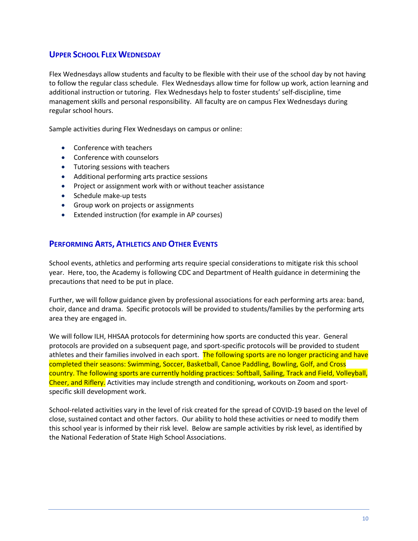## **UPPER SCHOOL FLEX WEDNESDAY**

Flex Wednesdays allow students and faculty to be flexible with their use of the school day by not having to follow the regular class schedule. Flex Wednesdays allow time for follow up work, action learning and additional instruction or tutoring. Flex Wednesdays help to foster students' self-discipline, time management skills and personal responsibility. All faculty are on campus Flex Wednesdays during regular school hours.

Sample activities during Flex Wednesdays on campus or online:

- Conference with teachers
- Conference with counselors
- Tutoring sessions with teachers
- Additional performing arts practice sessions
- Project or assignment work with or without teacher assistance
- Schedule make-up tests
- Group work on projects or assignments
- Extended instruction (for example in AP courses)

#### **PERFORMING ARTS, ATHLETICS AND OTHER EVENTS**

School events, athletics and performing arts require special considerations to mitigate risk this school year. Here, too, the Academy is following CDC and Department of Health guidance in determining the precautions that need to be put in place.

Further, we will follow guidance given by professional associations for each performing arts area: band, choir, dance and drama. Specific protocols will be provided to students/families by the performing arts area they are engaged in.

We will follow ILH, HHSAA protocols for determining how sports are conducted this year. General protocols are provided on a subsequent page, and sport-specific protocols will be provided to student athletes and their families involved in each sport. The following sports are no longer practicing and have completed their seasons: Swimming, Soccer, Basketball, Canoe Paddling, Bowling, Golf, and Cross country. The following sports are currently holding practices: Softball, Sailing, Track and Field, Volleyball, Cheer, and Riflery. Activities may include strength and conditioning, workouts on Zoom and sportspecific skill development work.

School-related activities vary in the level of risk created for the spread of COVID-19 based on the level of close, sustained contact and other factors. Our ability to hold these activities or need to modify them this school year is informed by their risk level. Below are sample activities by risk level, as identified by the National Federation of State High School Associations.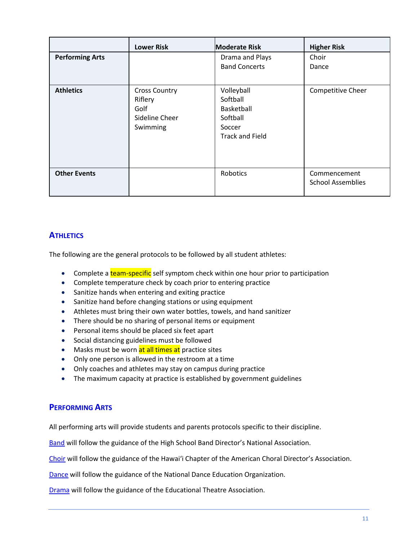|                        | <b>Lower Risk</b>                                                     | <b>Moderate Risk</b>                                                                 | <b>Higher Risk</b>                       |
|------------------------|-----------------------------------------------------------------------|--------------------------------------------------------------------------------------|------------------------------------------|
| <b>Performing Arts</b> |                                                                       | Drama and Plays<br><b>Band Concerts</b>                                              | Choir<br>Dance                           |
| <b>Athletics</b>       | <b>Cross Country</b><br>Riflery<br>Golf<br>Sideline Cheer<br>Swimming | Volleyball<br>Softball<br>Basketball<br>Softball<br>Soccer<br><b>Track and Field</b> | Competitive Cheer                        |
| <b>Other Events</b>    |                                                                       | Robotics                                                                             | Commencement<br><b>School Assemblies</b> |

## **ATHLETICS**

The following are the general protocols to be followed by all student athletes:

- Complete a team-specific self symptom check within one hour prior to participation
- Complete temperature check by coach prior to entering practice
- Sanitize hands when entering and exiting practice
- Sanitize hand before changing stations or using equipment
- Athletes must bring their own water bottles, towels, and hand sanitizer
- There should be no sharing of personal items or equipment
- Personal items should be placed six feet apart
- Social distancing guidelines must be followed
- Masks must be worn at all times at practice sites
- Only one person is allowed in the restroom at a time
- Only coaches and athletes may stay on campus during practice
- The maximum capacity at practice is established by government guidelines

## **PERFORMING ARTS**

All performing arts will provide students and parents protocols specific to their discipline.

Band will follow the guidance of the High School Band Director's National Association.

Choir will follow the guidance of the Hawai'i Chapter of the American Choral Director's Association.

Dance will follow the guidance of the National Dance Education Organization.

Drama will follow the guidance of the Educational Theatre Association.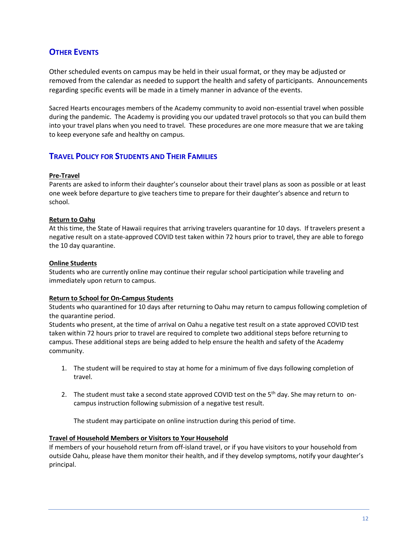## **OTHER EVENTS**

Other scheduled events on campus may be held in their usual format, or they may be adjusted or removed from the calendar as needed to support the health and safety of participants. Announcements regarding specific events will be made in a timely manner in advance of the events.

Sacred Hearts encourages members of the Academy community to avoid non-essential travel when possible during the pandemic. The Academy is providing you our updated travel protocols so that you can build them into your travel plans when you need to travel. These procedures are one more measure that we are taking to keep everyone safe and healthy on campus.

#### **TRAVEL POLICY FOR STUDENTS AND THEIR FAMILIES**

#### **Pre-Travel**

Parents are asked to inform their daughter's counselor about their travel plans as soon as possible or at least one week before departure to give teachers time to prepare for their daughter's absence and return to school.

#### **Return to Oahu**

At this time, the State of Hawaii requires that arriving travelers quarantine for 10 days. If travelers present a negative result on a state-approved COVID test taken within 72 hours prior to travel, they are able to forego the 10 day quarantine.

#### **Online Students**

Students who are currently online may continue their regular school participation while traveling and immediately upon return to campus.

#### **Return to School for On-Campus Students**

Students who quarantined for 10 days after returning to Oahu may return to campus following completion of the quarantine period.

Students who present, at the time of arrival on Oahu a negative test result on a state approved COVID test taken within 72 hours prior to travel are required to complete two additional steps before returning to campus. These additional steps are being added to help ensure the health and safety of the Academy community.

- 1. The student will be required to stay at home for a minimum of five days following completion of travel.
- 2. The student must take a second state approved COVID test on the 5<sup>th</sup> day. She may return to oncampus instruction following submission of a negative test result.

The student may participate on online instruction during this period of time.

#### **Travel of Household Members or Visitors to Your Household**

If members of your household return from off-island travel, or if you have visitors to your household from outside Oahu, please have them monitor their health, and if they develop symptoms, notify your daughter's principal.